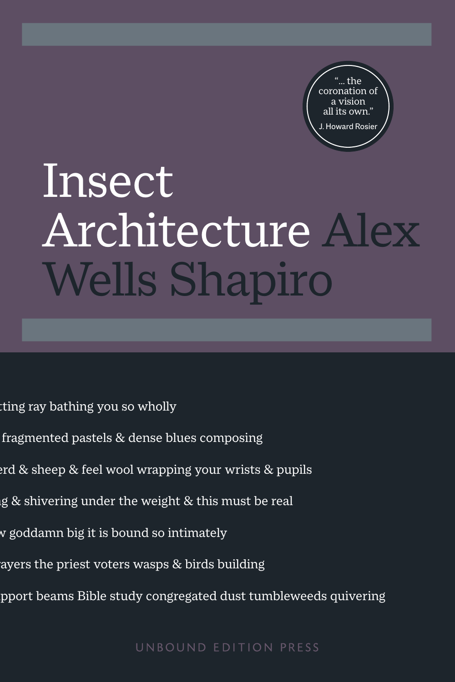

# Insect Architecture Alex Wells Shapiro

ting ray bathing you so wholly

- fragmented pastels  $&$  dense blues composing
- $\rm{erd} \ \& \ \rm{sheep} \ \& \ \rm{feel}$  wool wrapping your wrists  $\&$  pupils
- ig  $\&$  shivering under the weight  $\&$  this must be real
- w goddamn big it is bound so intimately
- ayers the priest voters wasps  $\&$  birds building
- fragmented pastels & dense blues composing<br>Prd & sheep & feel wool wrapping your wrists & pupils<br>As existed and the daily reality reality realities of identity<br>ayers the priest voters wasps & birds building<br>proort beams Bi pport beams Bible study congregated dust tumbleweeds quivering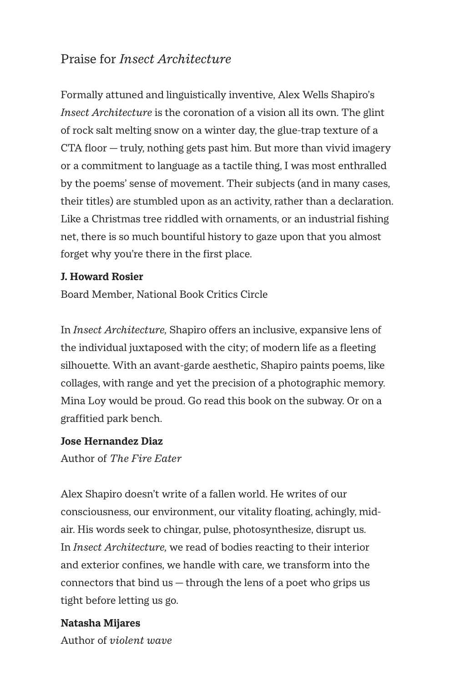### Praise for *Insect Architecture*

Formally attuned and linguistically inventive, Alex Wells Shapiro's *Insect Architecture* is the coronation of a vision all its own. The glint of rock salt melting snow on a winter day, the glue-trap texture of a CTA floor — truly, nothing gets past him. But more than vivid imagery or a commitment to language as a tactile thing, I was most enthralled by the poems' sense of movement. Their subjects (and in many cases, their titles) are stumbled upon as an activity, rather than a declaration. Like a Christmas tree riddled with ornaments, or an industrial fishing net, there is so much bountiful history to gaze upon that you almost forget why you're there in the first place.

#### **J. Howard Rosier**

Board Member, National Book Critics Circle

In *Insect Architecture,* Shapiro offers an inclusive, expansive lens of the individual juxtaposed with the city; of modern life as a fleeting silhouette. With an avant-garde aesthetic, Shapiro paints poems, like collages, with range and yet the precision of a photographic memory. Mina Loy would be proud. Go read this book on the subway. Or on a graffitied park bench.

#### **Jose Hernandez Diaz**

Author of *The Fire Eater*

Alex Shapiro doesn't write of a fallen world. He writes of our consciousness, our environment, our vitality floating, achingly, midair. His words seek to chingar, pulse, photosynthesize, disrupt us. In *Insect Architecture,* we read of bodies reacting to their interior and exterior confines, we handle with care, we transform into the connectors that bind  $us -$  through the lens of a poet who grips us tight before letting us go.

### **Natasha Mijares**

Author of *violent wave*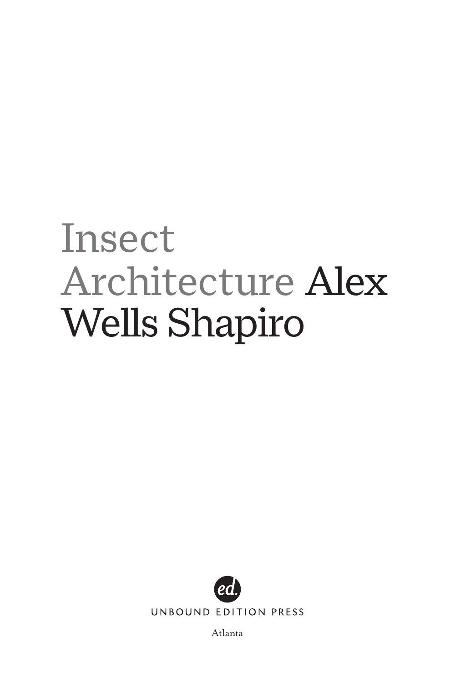# Insect Architecture Alex Wells Shapiro



UNBOUND EDITION PRESS

Atlanta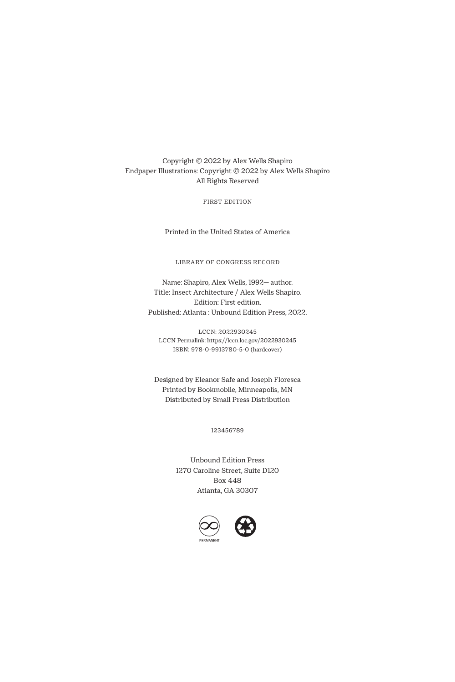Copyright © 2022 by Alex Wells Shapiro Endpaper Illustrations: Copyright © 2022 by Alex Wells Shapiro All Rights Reserved

FIRST EDITION

Printed in the United States of America

LIBRARY OF CONGRESS RECORD

Name: Shapiro, Alex Wells, 1992— author. Title: Insect Architecture / Alex Wells Shapiro. Edition: First edition. Published: Atlanta : Unbound Edition Press, 2022.

LCCN: 2022930245 LCCN Permalink: https://lccn.loc.gov/2022930245 ISBN: 978-0-9913780-5-0 (hardcover)

Designed by Eleanor Safe and Joseph Floresca Printed by Bookmobile, Minneapolis, MN Distributed by Small Press Distribution

123456789

Unbound Edition Press 1270 Caroline Street, Suite D120 Box 448 Atlanta, GA 30307

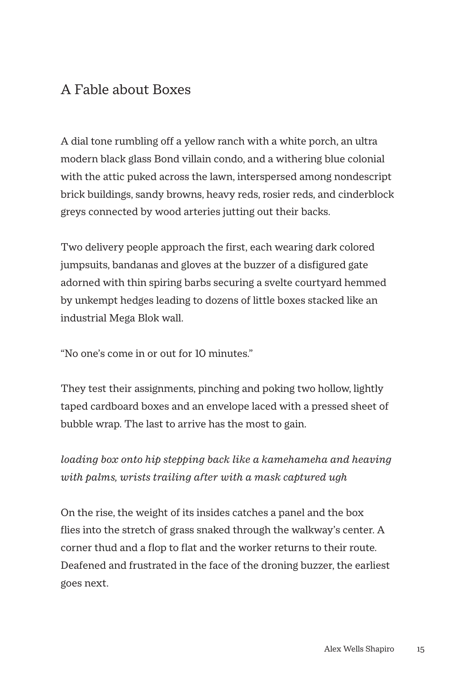# A Fable about Boxes

A dial tone rumbling off a yellow ranch with a white porch, an ultra modern black glass Bond villain condo, and a withering blue colonial with the attic puked across the lawn, interspersed among nondescript brick buildings, sandy browns, heavy reds, rosier reds, and cinderblock greys connected by wood arteries jutting out their backs.

Two delivery people approach the first, each wearing dark colored jumpsuits, bandanas and gloves at the buzzer of a disfigured gate adorned with thin spiring barbs securing a svelte courtyard hemmed by unkempt hedges leading to dozens of little boxes stacked like an industrial Mega Blok wall.

"No one's come in or out for 10 minutes."

They test their assignments, pinching and poking two hollow, lightly taped cardboard boxes and an envelope laced with a pressed sheet of bubble wrap. The last to arrive has the most to gain.

*loading box onto hip stepping back like a kamehameha and heaving with palms, wrists trailing after with a mask captured ugh*

On the rise, the weight of its insides catches a panel and the box flies into the stretch of grass snaked through the walkway's center. A corner thud and a flop to flat and the worker returns to their route. Deafened and frustrated in the face of the droning buzzer, the earliest goes next.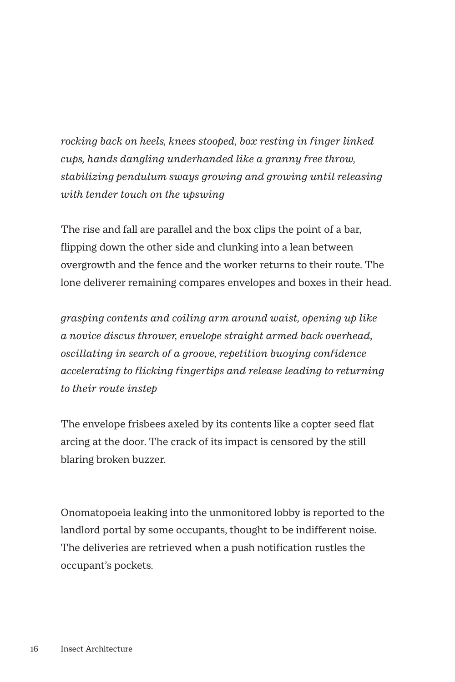*rocking back on heels, knees stooped, box resting in finger linked cups, hands dangling underhanded like a granny free throw, stabilizing pendulum sways growing and growing until releasing with tender touch on the upswing*

The rise and fall are parallel and the box clips the point of a bar, flipping down the other side and clunking into a lean between overgrowth and the fence and the worker returns to their route. The lone deliverer remaining compares envelopes and boxes in their head.

*grasping contents and coiling arm around waist, opening up like a novice discus thrower, envelope straight armed back overhead, oscillating in search of a groove, repetition buoying confidence accelerating to flicking fingertips and release leading to returning to their route instep* 

The envelope frisbees axeled by its contents like a copter seed flat arcing at the door. The crack of its impact is censored by the still blaring broken buzzer.

Onomatopoeia leaking into the unmonitored lobby is reported to the landlord portal by some occupants, thought to be indifferent noise. The deliveries are retrieved when a push notification rustles the occupant's pockets.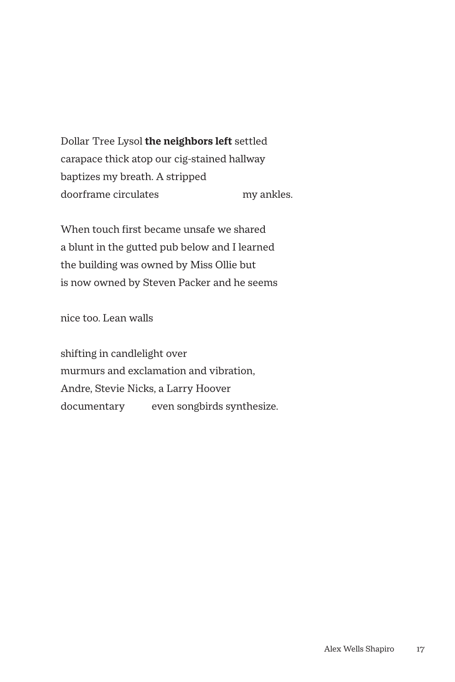Dollar Tree Lysol **the neighbors left** settled carapace thick atop our cig-stained hallway baptizes my breath. A stripped doorframe circulates my ankles.

When touch first became unsafe we shared a blunt in the gutted pub below and I learned the building was owned by Miss Ollie but is now owned by Steven Packer and he seems

nice too. Lean walls

shifting in candlelight over murmurs and exclamation and vibration, Andre, Stevie Nicks, a Larry Hoover documentary even songbirds synthesize.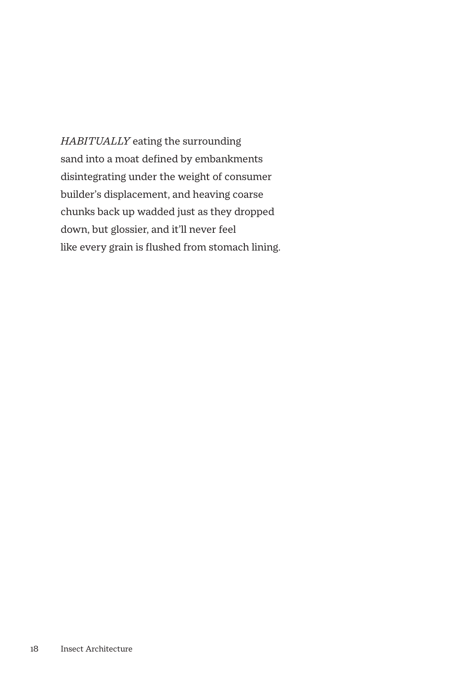*HABITUALLY* eating the surrounding sand into a moat defined by embankments disintegrating under the weight of consumer builder's displacement, and heaving coarse chunks back up wadded just as they dropped down, but glossier, and it'll never feel like every grain is flushed from stomach lining.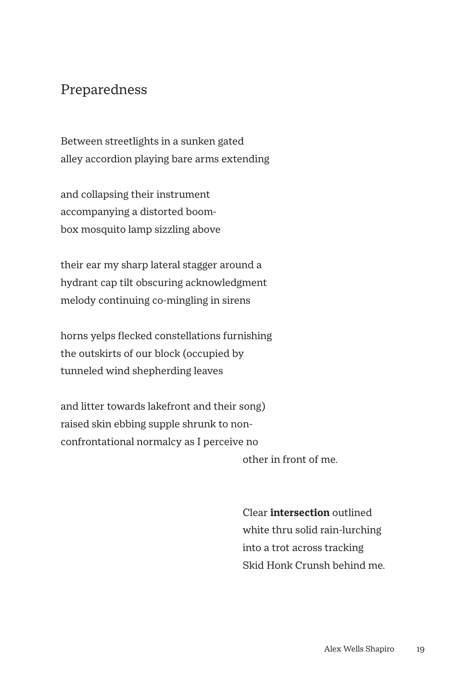## Preparedness

Between streetlights in a sunken gated alley accordion playing bare arms extending

and collapsing their instrument accompanying a distorted boombox mosquito lamp sizzling above

their ear my sharp lateral stagger around a hydrant cap tilt obscuring acknowledgment melody continuing co-mingling in sirens

horns yelps flecked constellations furnishing the outskirts of our block (occupied by tunneled wind shepherding leaves

and litter towards lakefront and their song) raised skin ebbing supple shrunk to nonconfrontational normalcy as I perceive no

other in front of me.

 Clear **intersection** outlined white thru solid rain-lurching into a trot across tracking Skid Honk Crunsh behind me.